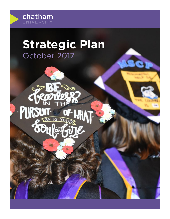

# **Strategic Plan** October 2017

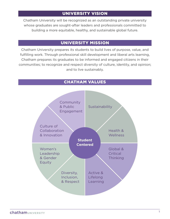# UNIVERSITY VISION

Chatham University will be recognized as an outstanding private university whose graduates are sought-after leaders and professionals committed to building a more equitable, healthy, and sustainable global future.

# UNIVERSITY MISSION

Chatham University prepares its students to build lives of purpose, value, and fulfilling work. Through professional skill development and liberal arts learning, Chatham prepares its graduates to be informed and engaged citizens in their communities; to recognize and respect diversity of culture, identity, and opinion; and to live sustainably.

# CHATHAM VALUES

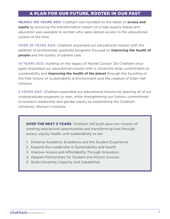# A PLAN FOR OUR FUTURE, ROOTED IN OUR PAST

**NEARLY 150 YEARS AGO**, Chatham was founded on the ideals of **access and equity** by ensuring the transformative impact of a high-quality liberal-arts education was available to women who were denied access to the educational system at the time.

**OVER 20 YEARS AGO**, Chatham expanded our educational mission with the addition of professional, graduate programs focused on **improving the health of people** and the quality of patient care.

**10 YEARS AGO**, building on the legacy of Rachel Carson '29, Chatham once again expanded our educational mission with a University-wide commitment to sustainability and **improving the health of the planet** through the founding of the Falk School of Sustainability & Environment and the creation of Eden Hall Campus.

**3 YEARS AGO**, Chatham expanded our educational mission by opening all of our undergraduate programs to men, while strengthening our historic commitment to women's leadership and gender equity by establishing the Chatham University Women's Institute.

**OVER THE NEXT 5 YEARS, Chatham will build upon our mission of** creating educational opportunities and transforming lives through access, equity, health, and sustainability as we:

- 1. Enhance Academic Excellence and the Student Experience
- 2. Expand Our Leadership in Sustainability and Health
- 3. Improve Access and Affordability Through Innovation
- 4. Deepen Partnerships for Student and Alumni Success
- 5. Build University Capacity and Capabilities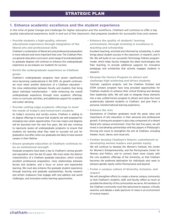### **1. Enhance academic excellence and the student experience**

In this time of great change and challenge for higher education and the workforce, Chatham will continue to offer a top *quality educational experience, both in and out of the classroom, that prepares students for successful lives and careers.* 

**• Provide students a high-quality, relevant educational experience through integration of the liberal arts and professional skills**

Chatham's combination of liberal arts and professional preparation is more relevant and more important than ever. The Chatham Plan, our general-education curriculum, and a range of accelerated paths to graduate degrees will continue to enhance the undergraduate experience as we prepare our students for success.

**• Enrich the undergraduate experience as Chatham grows**

Chatham's undergraduate programs have grown significantly since becoming coeducational in fall 2015. As growth continues, we must retain another distinction of a Chatham education – the close relationships between faculty and students that bring about individual transformation – while enhancing the overall undergraduate experience through more academic offerings, more co-curricular activities, and additional support for academic and career advising.

- **• Provide cutting-edge academic offerings to meet the needs of today's and tomorrow's students** As today's economy and society evolve, Chatham is adding to its degree offerings to ensure that students are well prepared for emerging new career opportunities. Five new majors and degrees will be launched over the next five years. We will also continue to rigorously assess all undergraduate programs to ensure that students are learning what they need to succeed not just for graduation, but after, when our graduates are likely to have several careers in their lifetime.
- **• Ensure graduate education at Chatham continues to be an institutional strength**

Graduate programs have been a key to Chatham's strong growth and reputation over the last 25 years. We must retain the distinct characteristics of a Chatham graduate education, which include excellent professional preparation, close relationships between faculty and students, and a focus on active and experiential learning. We must also enhance the graduate student experience through teaching and graduate assistantships, faculty research and artistic endeavors that engage with and address real world challenges, and innovative online learning opportunities.

**• Enhance the quality of students' learning environment, through investing in excellence in teaching and scholarship**

Excellent teaching, enriched and informed by scholarship, is what brings about student success in the classroom, in research, and in life. We will build on our successful Technology Fellows programmodel, which helps faculty integrate the latest technologies into their teaching, to provide additional supports for innovative pedagogy and scholarship that actively engages students in research.

**• Revamp the Honors Program to attract and challenge high achieving and driven students**

Tutorials, capstone projects, and the Chatham Scholars and STEM scholars program have long provided opportunities for Chatham students to enhance their critical thinking and develop their leadership skills. We will seek to integrate these elements into a new, unified honors program to attract and retain the most academically talented students to Chatham, and give them a personal, transformational learning experience.

**• Enhance the Arts**

Generations of Chatham graduates recall the great value and importance of arts education in their personal and professional growth. A strong arts program is also a key component of a vibrant liberal arts campus environment. Over the next five years, we will invest in and develop partnerships with key players in Pittsburgh's thriving arts scene to strengthen the arts at Chatham, including theater, music, dance, and visual arts.

- **• Further develop Chatham's historic commitment to developing women leaders and gender equity** We will continue to develop the Women's Institute, the Center for Women's Entrepreneurship, and the Pennsylvania Center for Women and Politics, and to connect them more closely with the core academic offerings of the University, so that Chatham becomes *the* preferred destination for individuals who want to advance gender equity within Pennsylvania and beyond.
- **• Foster a campus culture of diversity, inclusion, and respect**

We will strengthen efforts to create a diverse campus community so that Chatham's students, staff, and faculty reflect as much as possible the diversity of the communities we serve. All members of the Chatham community must feel welcomed to express, critically examine, and debate a wide spectrum of views in an environment of mutual respect.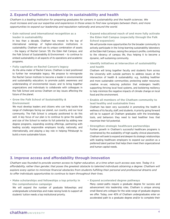## **2. Expand Chatham's leadership in sustainability and health**

*Chatham is a leading institution for preparing graduates for careers in sustainability and the health sciences. We must increase and use our expertise and experience in those areas to find new synergies between them, and more opportunities to expand our leadership and reputation nationally and around the world.*

**• Gain national and international recognition as a leader in sustainability**

In less than a decade, Chatham has moved to the top of international rankings of higher-education institutions in sustainability. Chatham will use its unique combination of assets – the legacy of Rachel Carson '29, the Eden Hall Campus, and the Falk School of Sustainability & Environment – to continue to embed sustainability in all aspects of its operations and academic programs.

**• Fully capitalize on Rachel Carson's legacy**

As the alma mater of Rachel Carson, Chatham is best positioned to further her remarkable legacy. We propose to reinvigorate the Rachel Carson Institute to become a leader in environmental and sustainability education; to promote public awareness and understanding of environmental issues; and to bring together organizations and individuals to collaborate with colleagues in the Falk School and across Chatham on key issues affecting the future of the planet.

**• Grow the Falk School of Sustainability & Environment**

We must develop leaders and citizens who can help tackle the range of challenges facing our planet, our country, and our local community. The Falk School is uniquely positioned to do this well. A key focus of our plan is to continue to grow the quality and size of the School to realize its full potential by adding new degree programs, expanding existing offerings, partnering with leading socially responsible employers locally, nationally, and internationally, and playing a key role in helping Pittsburgh to build a more sustainable future.

**• Expand educational reach of and more fully activate the Eden Hall Campus (especially through the Falk School expansion)**

We will provide more opportunities for the broader community to actively participate in the living-learning sustainability laboratory at the Eden Hall Campus, raising the campus's profile, contributing to the vibrancy of campus life, thus helping it to become a dynamic, self-sustaining community.

**• Identify initiatives at intersection of sustainability and health**

Chatham will bring together faculty and students from across the University with outside partners to address issues at the intersection of health & sustainability: e.g., building healthier and more sustainable communities; protecting water resources; creative re-use; reducing pollution that endangers health; supporting thriving local food systems, and bolstering resiliency to help minimize the negative impacts of climate change on local food and the environment.

**• Enable all members of the Chatham community to lead healthy and sustainable lives**

Chatham has been very successful in promoting the health & wellness of its faculty, staff, and students. A priority going forward will be to support all Chatham graduates with the knowledge, tools, and behaviors they need to lead healthier lives that maximize their full potential.

**• Strengthen strategic healthcare partnerships** Further growth in Chatham's successful healthcare programs is constrained by the availability of high-quality clinical placements. Chatham will seek to expand and deepen its strategic relationships with leading healthcare employers to expand our position as a preferred talent partner that helps them meet their organizational

## **3. Improve access and affordability through innovation**

*Chatham was founded to provide women access to higher education, at a time when such access was rare. Today it is*  affordability, rather than gender, that poses the greatest obstacle to talented individuals obtaining a degree. Chatham will *explore every option to minimize financial obstacles from students fulfilling their personal and professional dreams and to offer individuals opportunities to continue to learn throughout their lives.* 

**• Make scholarships and fellowships a top priority in the comprehensive campaign**

We will expand the number of graduate fellowships and undergraduate scholarships and make raising funds to support all students' tuition needs a top institutional priority.

**• Expand accelerated degree pathways**

and human capital needs.

Many career-paths require a graduate degree for success and advancement into leadership roles. Chatham is unique among small liberal arts colleges for the wide range of graduate degrees we offer. Today, over 40% of Chatham undergraduates enter an accelerated path to a graduate degree and/or to complete their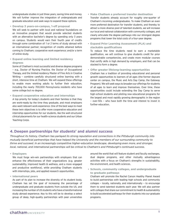undergraduate studies in just three years, saving time and money. We will further improve the integration of undergraduate and graduate education and seek ways to expand these options.

**• Develop 3 years-on-campus, 1-off proposal** We will seek to partner with local and national foundations on an innovative program that would provide selected students with an alternative bachelor's degree by spending only 3 years on campus. Students would earn their fourth year of credits through some combination of: 1 or 2 terms of study abroad with an international partner; recognition of credits attained before coming to Chatham; cooperative work experience; and/or a term of online study.

**• Expand online learning and limited residency degrees**

Some of Chatham's most successful and diverse degree programs – e.g., Doctor of Nursing Practice, the Doctor of Occupational Therapy, and the limited residency Master of Fine Arts in Creative Writing – combine carefully structured online learning with a short, intensive time at Chatham. We will expand these offerings to enable more working adults to further their education, including the nearly 700,000 Pennsylvania residents who have some college but no degree.

**• Expand cooperative education and internships**

A top priority for today's students and their families is that they are work-ready by the time they graduate, and most employers also want relevant work experience. One of the best ways to meet these twin objectives is to offer more cooperative education and internship opportunities for our students, like the well-structured clinical placements for our health-science students and our Urban Teaching Corps.

- **• Make Chatham a preferred transfer destination** Transfer students already account for roughly one-quarter of Chatham's incoming undergraduates. To make Chatham an even more preferred destination for transfer students, and thereby to attract a more diverse pool of talented students, we will increase our local and national collaboration with community colleges, and clearly articulate the degree pathways into our strongest degree programs that lower the total costs of a four-year degree.
- **• Expand Prior Learning Assessment (PLA) and stackable qualifications**

To reduce the time students need to earn a marketable qualification, we will continue to give students credit for prior demonstrable competencies, and create more modular courses that certify skills in high demand by employers, and that can be stacked to form a degree.

**• Offer greater lifelong-learning opportunities**

Chatham has a tradition of providing educational and personal growth opportunities to learners of all ages (the former daycare center on campus, the Music and Arts Day Camp, the Gateway Program). We will seek ways to broaden our offerings for students of all ages to learn and improve themselves. Over time, these opportunities could include extending the Day Camp to serve high-school students and piloting new educational programs for the largest and most rapidly growing demographic in the region – over-50s – who have both the time and interest to invest in further education.

## **4. Deepen partnerships for students' and alumni success**

*Throughout its history, Chatham has parlayed its strong reputation and connections in the Pittsburgh community into mutually beneficial partnerships that have helped the University and the members of our surrounding community to thrive and succeed. In an increasingly competitive higher-education landscape, developing even more, and stronger, local, national, and international partnerships will be critical to Chatham's and Pittsburgh's continued success.*

#### **• Employers**

We must forge win-win partnerships with employers that can enhance the effectiveness of their organizations (e.g. greater sustainability, improved health & wellness, and a more engaged and productive workforce), while providing Chatham students with internships, jobs, and applied research opportunities.

#### **• International peers**

As part of its plan to increase the diversity of its student body, Chatham has set the goal of increasing the percentage of undergraduate and graduate students from outside the US, and increasing the number of US students who have a transformational study abroad experience. Key to this will be to develop a select group of deep, high-quality partnerships with peer universities around the world that will feature student and faculty exchanges, dual degree programs, and other mutually advantageous activities with a focus on Chatham's strengths in sustainability, the environment, and health sciences.

**• Schools, community colleges, and undergraduate to graduate pathways**

Chatham will promote the Rachel Carson Healthy Planet Award to build partnerships with leading high schools and community colleges – locally, nationally, and internationally – to encourage them to send talented students each year. We will also partner with colleges that share our commitment to health & sustainability to build accelerated pathways for their students into our graduate programs.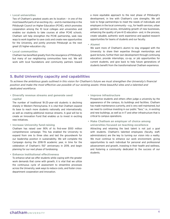#### **• Local universities**

Two of Chatham's greatest assets are its location – in one of the most beautiful parts of an exciting city – and its membership in the Pittsburgh Council on Higher Education (PCHE), which promotes cooperation among the 10 local colleges and universities and enables our students to take courses at other PCHE schools. Chatham will help strengthen the PCHE partnership, seek new ways to work together to save costs and create new opportunities for the University, and jointly promote Pittsburgh as the next great US higher-education city.

#### **• Local communities**

Chatham has benefited greatly from the resurgence of Pittsburgh, but many of our neighboring communities have not. We will work with local foundations and community partners toward a more equitable approach to the next phase of Pittsburgh's development, in line with Chatham's core strengths. We will look to forge partnerships to meet the needs of individuals and employers in the local community – e.g., for health services, urban gardens and food access, stimulating growth of new businesses, enhancing the quality of pre-K-12 education– and, in the process, create valuable, authentic work experience and applied research opportunities for teams of students and our faculty.

**• Alumni** 

We want more of Chatham's alumni to stay engaged with the University: to share their expertise through mentorships and guest lectures, further their own development through continuing education, provide internships, co-op, or job opportunities for current students, and give back to help future generations of students benefit from the transformational Chatham experience.

## **5. Build University capacity and capabilities**

*To achieve the ambitious goals outlined in this vision for Chatham's future we must strengthen the University's financial position and make the most effective use possible of our existing assets: three beautiful sites and a talented and dedicated workforce.*

**• Diversify revenue streams and generate seed capital**

The number of traditional 18-25-year-old students is declining sharply in Western Pennsylvania. It is vital that Chatham expand its base to reach more students nationally and internationally, as well as creating additional revenue streams. A goal will be to create an Innovation Fund that enables us to invest in exciting new initiatives.

**• Increase University fund-raising**

Chatham has raised over 90% of its first-ever \$100 million comprehensive campaign. This has enabled the University to expand from one to three sites and laid the groundwork for our leadership position in sustainability. We will complete the Campaign during the 2018-19 academic year, in time for the celebration of Chatham's 150<sup>th</sup> anniversary in 2019, and begin planning for our next phase of fundraising.

**• Enhance institutional effectiveness**

To enhance what we offer students while coping with the greater work demands that come with growth, it is vital that we utilize the continuous cycle of assessment to streamline processes across the University, seek ways to reduce costs, and foster crossdepartment cooperation and innovation.

**• Improve infrastructure**

Prospective students and others often judge a university by the appearance of the campus, its buildings and facilities. Chatham has made maintenance a priority, and is very well maintained, but we need to continue investing in our public "face," i.e., in existing and new buildings, as well as in IT and other infrastructure that is critical to campus operations.

**• Make Chatham an employer of choice among universities focused on teaching excellence** Attracting and retaining the best talent is not just a goal with students. Chatham's talented employees (faculty, staff, administrators) are the key to turning our vision into a reality. We must continue to enhance our work environment, giving opportunities to each individual for personal and professional advancement and growth, investing in their health and wellness, and fostering a community dedicated to the success of our students.